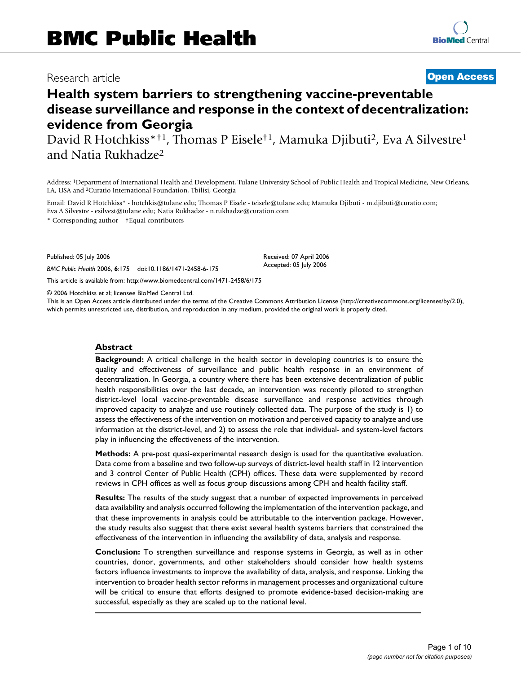# Research article **[Open Access](http://www.biomedcentral.com/info/about/charter/)**

# **Health system barriers to strengthening vaccine-preventable disease surveillance and response in the context of decentralization: evidence from Georgia**

David R Hotchkiss\*<sup>†1</sup>, Thomas P Eisele<sup>†1</sup>, Mamuka Djibuti<sup>2</sup>, Eva A Silvestre<sup>1</sup> and Natia Rukhadze2

Address: 1Department of International Health and Development, Tulane University School of Public Health and Tropical Medicine, New Orleans, LA, USA and 2Curatio International Foundation, Tbilisi, Georgia

Email: David R Hotchkiss\* - hotchkis@tulane.edu; Thomas P Eisele - teisele@tulane.edu; Mamuka Djibuti - m.djibuti@curatio.com; Eva A Silvestre - esilvest@tulane.edu; Natia Rukhadze - n.rukhadze@curation.com

\* Corresponding author †Equal contributors

Published: 05 July 2006

*BMC Public Health* 2006, **6**:175 doi:10.1186/1471-2458-6-175

[This article is available from: http://www.biomedcentral.com/1471-2458/6/175](http://www.biomedcentral.com/1471-2458/6/175)

© 2006 Hotchkiss et al; licensee BioMed Central Ltd.

This is an Open Access article distributed under the terms of the Creative Commons Attribution License [\(http://creativecommons.org/licenses/by/2.0\)](http://creativecommons.org/licenses/by/2.0), which permits unrestricted use, distribution, and reproduction in any medium, provided the original work is properly cited.

Received: 07 April 2006 Accepted: 05 July 2006

#### **Abstract**

**Background:** A critical challenge in the health sector in developing countries is to ensure the quality and effectiveness of surveillance and public health response in an environment of decentralization. In Georgia, a country where there has been extensive decentralization of public health responsibilities over the last decade, an intervention was recently piloted to strengthen district-level local vaccine-preventable disease surveillance and response activities through improved capacity to analyze and use routinely collected data. The purpose of the study is 1) to assess the effectiveness of the intervention on motivation and perceived capacity to analyze and use information at the district-level, and 2) to assess the role that individual- and system-level factors play in influencing the effectiveness of the intervention.

**Methods:** A pre-post quasi-experimental research design is used for the quantitative evaluation. Data come from a baseline and two follow-up surveys of district-level health staff in 12 intervention and 3 control Center of Public Health (CPH) offices. These data were supplemented by record reviews in CPH offices as well as focus group discussions among CPH and health facility staff.

**Results:** The results of the study suggest that a number of expected improvements in perceived data availability and analysis occurred following the implementation of the intervention package, and that these improvements in analysis could be attributable to the intervention package. However, the study results also suggest that there exist several health systems barriers that constrained the effectiveness of the intervention in influencing the availability of data, analysis and response.

**Conclusion:** To strengthen surveillance and response systems in Georgia, as well as in other countries, donor, governments, and other stakeholders should consider how health systems factors influence investments to improve the availability of data, analysis, and response. Linking the intervention to broader health sector reforms in management processes and organizational culture will be critical to ensure that efforts designed to promote evidence-based decision-making are successful, especially as they are scaled up to the national level.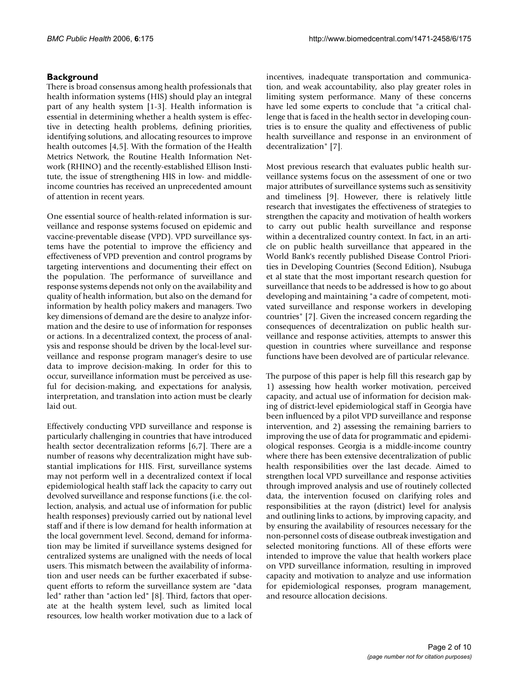# **Background**

There is broad consensus among health professionals that health information systems (HIS) should play an integral part of any health system [1-3]. Health information is essential in determining whether a health system is effective in detecting health problems, defining priorities, identifying solutions, and allocating resources to improve health outcomes [4,5]. With the formation of the Health Metrics Network, the Routine Health Information Network (RHINO) and the recently-established Ellison Institute, the issue of strengthening HIS in low- and middleincome countries has received an unprecedented amount of attention in recent years.

One essential source of health-related information is surveillance and response systems focused on epidemic and vaccine-preventable disease (VPD). VPD surveillance systems have the potential to improve the efficiency and effectiveness of VPD prevention and control programs by targeting interventions and documenting their effect on the population. The performance of surveillance and response systems depends not only on the availability and quality of health information, but also on the demand for information by health policy makers and managers. Two key dimensions of demand are the desire to analyze information and the desire to use of information for responses or actions. In a decentralized context, the process of analysis and response should be driven by the local-level surveillance and response program manager's desire to use data to improve decision-making. In order for this to occur, surveillance information must be perceived as useful for decision-making, and expectations for analysis, interpretation, and translation into action must be clearly laid out.

Effectively conducting VPD surveillance and response is particularly challenging in countries that have introduced health sector decentralization reforms [6,7]. There are a number of reasons why decentralization might have substantial implications for HIS. First, surveillance systems may not perform well in a decentralized context if local epidemiological health staff lack the capacity to carry out devolved surveillance and response functions (i.e. the collection, analysis, and actual use of information for public health responses) previously carried out by national level staff and if there is low demand for health information at the local government level. Second, demand for information may be limited if surveillance systems designed for centralized systems are unaligned with the needs of local users. This mismatch between the availability of information and user needs can be further exacerbated if subsequent efforts to reform the surveillance system are "data led" rather than "action led" [8]. Third, factors that operate at the health system level, such as limited local resources, low health worker motivation due to a lack of incentives, inadequate transportation and communication, and weak accountability, also play greater roles in limiting system performance. Many of these concerns have led some experts to conclude that "a critical challenge that is faced in the health sector in developing countries is to ensure the quality and effectiveness of public health surveillance and response in an environment of decentralization" [7].

Most previous research that evaluates public health surveillance systems focus on the assessment of one or two major attributes of surveillance systems such as sensitivity and timeliness [9]. However, there is relatively little research that investigates the effectiveness of strategies to strengthen the capacity and motivation of health workers to carry out public health surveillance and response within a decentralized country context. In fact, in an article on public health surveillance that appeared in the World Bank's recently published Disease Control Priorities in Developing Countries (Second Edition), Nsubuga et al state that the most important research question for surveillance that needs to be addressed is how to go about developing and maintaining "a cadre of competent, motivated surveillance and response workers in developing countries" [7]. Given the increased concern regarding the consequences of decentralization on public health surveillance and response activities, attempts to answer this question in countries where surveillance and response functions have been devolved are of particular relevance.

The purpose of this paper is help fill this research gap by 1) assessing how health worker motivation, perceived capacity, and actual use of information for decision making of district-level epidemiological staff in Georgia have been influenced by a pilot VPD surveillance and response intervention, and 2) assessing the remaining barriers to improving the use of data for programmatic and epidemiological responses. Georgia is a middle-income country where there has been extensive decentralization of public health responsibilities over the last decade. Aimed to strengthen local VPD surveillance and response activities through improved analysis and use of routinely collected data, the intervention focused on clarifying roles and responsibilities at the rayon (district) level for analysis and outlining links to actions, by improving capacity, and by ensuring the availability of resources necessary for the non-personnel costs of disease outbreak investigation and selected monitoring functions. All of these efforts were intended to improve the value that health workers place on VPD surveillance information, resulting in improved capacity and motivation to analyze and use information for epidemiological responses, program management, and resource allocation decisions.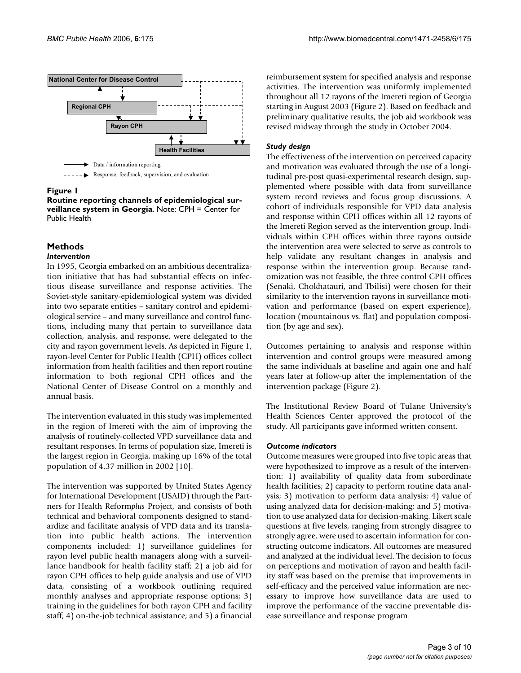

 $\cdots \cdots \blacktriangleright$ Response, feedback, supervision, and evaluation

#### **Figure 1**

**Routine reporting channels of epidemiological surveillance system in Georgia**. Note: CPH = Center for Public Health

# **Methods**

#### *Intervention*

In 1995, Georgia embarked on an ambitious decentralization initiative that has had substantial effects on infectious disease surveillance and response activities. The Soviet-style sanitary-epidemiological system was divided into two separate entities – sanitary control and epidemiological service – and many surveillance and control functions, including many that pertain to surveillance data collection, analysis, and response, were delegated to the city and rayon government levels. As depicted in Figure 1, rayon-level Center for Public Health (CPH) offices collect information from health facilities and then report routine information to both regional CPH offices and the National Center of Disease Control on a monthly and annual basis.

The intervention evaluated in this study was implemented in the region of Imereti with the aim of improving the analysis of routinely-collected VPD surveillance data and resultant responses. In terms of population size, Imereti is the largest region in Georgia, making up 16% of the total population of 4.37 million in 2002 [10].

The intervention was supported by United States Agency for International Development (USAID) through the Partners for Health Reform*plus* Project, and consists of both technical and behavioral components designed to standardize and facilitate analysis of VPD data and its translation into public health actions. The intervention components included: 1) surveillance guidelines for rayon level public health managers along with a surveillance handbook for health facility staff; 2) a job aid for rayon CPH offices to help guide analysis and use of VPD data, consisting of a workbook outlining required monthly analyses and appropriate response options; 3) training in the guidelines for both rayon CPH and facility staff; 4) on-the-job technical assistance; and 5) a financial

reimbursement system for specified analysis and response activities. The intervention was uniformly implemented throughout all 12 rayons of the Imereti region of Georgia starting in August 2003 (Figure 2). Based on feedback and preliminary qualitative results, the job aid workbook was revised midway through the study in October 2004.

#### *Study design*

The effectiveness of the intervention on perceived capacity and motivation was evaluated through the use of a longitudinal pre-post quasi-experimental research design, supplemented where possible with data from surveillance system record reviews and focus group discussions. A cohort of individuals responsible for VPD data analysis and response within CPH offices within all 12 rayons of the Imereti Region served as the intervention group. Individuals within CPH offices within three rayons outside the intervention area were selected to serve as controls to help validate any resultant changes in analysis and response within the intervention group. Because randomization was not feasible, the three control CPH offices (Senaki, Chokhatauri, and Tbilisi) were chosen for their similarity to the intervention rayons in surveillance motivation and performance (based on expert experience), location (mountainous vs. flat) and population composition (by age and sex).

Outcomes pertaining to analysis and response within intervention and control groups were measured among the same individuals at baseline and again one and half years later at follow-up after the implementation of the intervention package (Figure 2).

The Institutional Review Board of Tulane University's Health Sciences Center approved the protocol of the study. All participants gave informed written consent.

#### *Outcome indicators*

Outcome measures were grouped into five topic areas that were hypothesized to improve as a result of the intervention: 1) availability of quality data from subordinate health facilities; 2) capacity to perform routine data analysis; 3) motivation to perform data analysis; 4) value of using analyzed data for decision-making; and 5) motivation to use analyzed data for decision-making. Likert scale questions at five levels, ranging from strongly disagree to strongly agree, were used to ascertain information for constructing outcome indicators. All outcomes are measured and analyzed at the individual level. The decision to focus on perceptions and motivation of rayon and health facility staff was based on the premise that improvements in self-efficacy and the perceived value information are necessary to improve how surveillance data are used to improve the performance of the vaccine preventable disease surveillance and response program.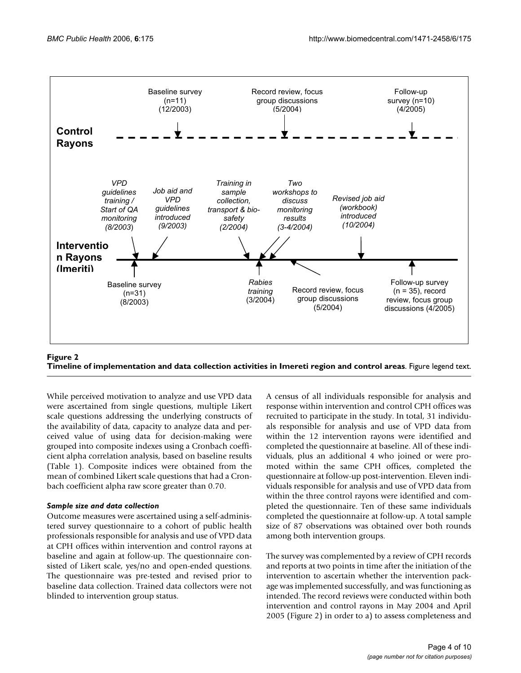

**Timeline of implementation and data collection activities in Imereti region and control areas**. Figure legend text.

While perceived motivation to analyze and use VPD data were ascertained from single questions, multiple Likert scale questions addressing the underlying constructs of the availability of data, capacity to analyze data and perceived value of using data for decision-making were grouped into composite indexes using a Cronbach coefficient alpha correlation analysis, based on baseline results (Table 1). Composite indices were obtained from the mean of combined Likert scale questions that had a Cronbach coefficient alpha raw score greater than 0.70.

#### *Sample size and data collection*

Outcome measures were ascertained using a self-administered survey questionnaire to a cohort of public health professionals responsible for analysis and use of VPD data at CPH offices within intervention and control rayons at baseline and again at follow-up. The questionnaire consisted of Likert scale, yes/no and open-ended questions. The questionnaire was pre-tested and revised prior to baseline data collection. Trained data collectors were not blinded to intervention group status.

A census of all individuals responsible for analysis and response within intervention and control CPH offices was recruited to participate in the study. In total, 31 individuals responsible for analysis and use of VPD data from within the 12 intervention rayons were identified and completed the questionnaire at baseline. All of these individuals, plus an additional 4 who joined or were promoted within the same CPH offices, completed the questionnaire at follow-up post-intervention. Eleven individuals responsible for analysis and use of VPD data from within the three control rayons were identified and completed the questionnaire. Ten of these same individuals completed the questionnaire at follow-up. A total sample size of 87 observations was obtained over both rounds among both intervention groups.

The survey was complemented by a review of CPH records and reports at two points in time after the initiation of the intervention to ascertain whether the intervention package was implemented successfully, and was functioning as intended. The record reviews were conducted within both intervention and control rayons in May 2004 and April 2005 (Figure 2) in order to a) to assess completeness and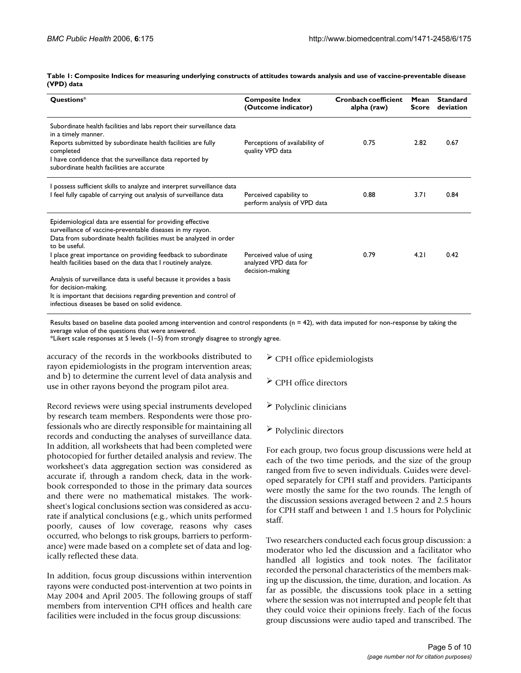**Table 1: Composite Indices for measuring underlying constructs of attitudes towards analysis and use of vaccine-preventable disease (VPD) data**

| Ouestions*                                                                                                                                                                                                                                                                                                                                                                                                                                                                                                                                                              | <b>Composite Index</b><br>(Outcome indicator)                        | Cronbach coefficient<br>alpha (raw) | Mean<br>Score | <b>Standard</b><br>deviation |
|-------------------------------------------------------------------------------------------------------------------------------------------------------------------------------------------------------------------------------------------------------------------------------------------------------------------------------------------------------------------------------------------------------------------------------------------------------------------------------------------------------------------------------------------------------------------------|----------------------------------------------------------------------|-------------------------------------|---------------|------------------------------|
| Subordinate health facilities and labs report their surveillance data<br>in a timely manner.<br>Reports submitted by subordinate health facilities are fully<br>completed<br>I have confidence that the surveillance data reported by<br>subordinate health facilities are accurate                                                                                                                                                                                                                                                                                     | Perceptions of availability of<br>quality VPD data                   | 0.75                                | 2.82          | 0.67                         |
| I possess sufficient skills to analyze and interpret surveillance data<br>I feel fully capable of carrying out analysis of surveillance data                                                                                                                                                                                                                                                                                                                                                                                                                            | Perceived capability to<br>perform analysis of VPD data              | 0.88                                | 3.71          | 0.84                         |
| Epidemiological data are essential for providing effective<br>surveillance of vaccine-preventable diseases in my rayon.<br>Data from subordinate health facilities must be analyzed in order<br>to be useful.<br>I place great importance on providing feedback to subordinate<br>health facilities based on the data that I routinely analyze.<br>Analysis of surveillance data is useful because it provides a basis<br>for decision-making.<br>It is important that decisions regarding prevention and control of<br>infectious diseases be based on solid evidence. | Perceived value of using<br>analyzed VPD data for<br>decision-making | 0.79                                | 4.21          | 0.42                         |

Results based on baseline data pooled among intervention and control respondents ( $n = 42$ ), with data imputed for non-response by taking the average value of the questions that were answered.

\*Likert scale responses at 5 levels  $(1-5)$  from strongly disagree to strongly agree.

accuracy of the records in the workbooks distributed to rayon epidemiologists in the program intervention areas; and b) to determine the current level of data analysis and use in other rayons beyond the program pilot area.

Record reviews were using special instruments developed by research team members. Respondents were those professionals who are directly responsible for maintaining all records and conducting the analyses of surveillance data. In addition, all worksheets that had been completed were photocopied for further detailed analysis and review. The worksheet's data aggregation section was considered as accurate if, through a random check, data in the workbook corresponded to those in the primary data sources and there were no mathematical mistakes. The worksheet's logical conclusions section was considered as accurate if analytical conclusions (e.g., which units performed poorly, causes of low coverage, reasons why cases occurred, who belongs to risk groups, barriers to performance) were made based on a complete set of data and logically reflected these data.

In addition, focus group discussions within intervention rayons were conducted post-intervention at two points in May 2004 and April 2005. The following groups of staff members from intervention CPH offices and health care facilities were included in the focus group discussions:

- CPH office epidemiologists ¾
- CPH office directors ¾
- ▶ Polyclinic clinicians
- ▶ Polyclinic directors

For each group, two focus group discussions were held at each of the two time periods, and the size of the group ranged from five to seven individuals. Guides were developed separately for CPH staff and providers. Participants were mostly the same for the two rounds. The length of the discussion sessions averaged between 2 and 2.5 hours for CPH staff and between 1 and 1.5 hours for Polyclinic staff.

Two researchers conducted each focus group discussion: a moderator who led the discussion and a facilitator who handled all logistics and took notes. The facilitator recorded the personal characteristics of the members making up the discussion, the time, duration, and location. As far as possible, the discussions took place in a setting where the session was not interrupted and people felt that they could voice their opinions freely. Each of the focus group discussions were audio taped and transcribed. The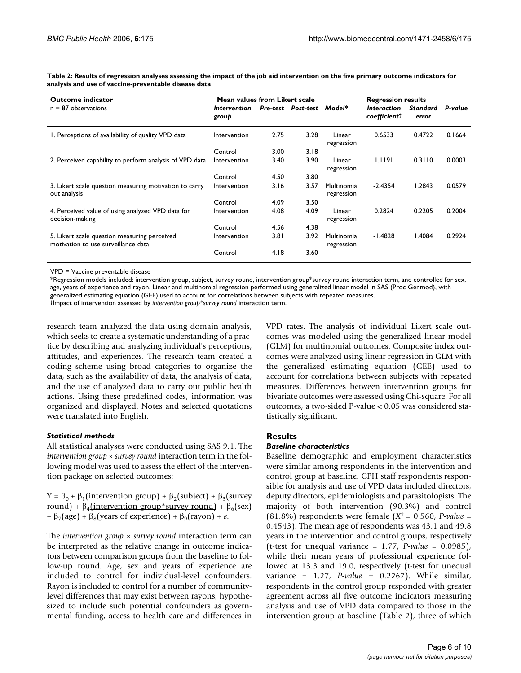| <b>Outcome indicator</b>                                                            | Mean values from Likert scale |      |                           | <b>Regression results</b> |                                                |                   |         |
|-------------------------------------------------------------------------------------|-------------------------------|------|---------------------------|---------------------------|------------------------------------------------|-------------------|---------|
| $n = 87$ observations                                                               | Intervention<br>group         |      | Pre-test Post-test Model* |                           | <b>Interaction</b><br>coefficient <sup>†</sup> | Standard<br>error | P-value |
| 1. Perceptions of availability of quality VPD data                                  | Intervention                  | 2.75 | 3.28                      | Linear<br>regression      | 0.6533                                         | 0.4722            | 0.1664  |
|                                                                                     | Control                       | 3.00 | 3.18                      |                           |                                                |                   |         |
| 2. Perceived capability to perform analysis of VPD data                             | Intervention                  | 3.40 | 3.90                      | Linear<br>regression      | 1.1191                                         | 0.3110            | 0.0003  |
|                                                                                     | Control                       | 4.50 | 3.80                      |                           |                                                |                   |         |
| 3. Likert scale question measuring motivation to carry<br>out analysis              | Intervention                  | 3.16 | 3.57                      | Multinomial<br>regression | $-2.4354$                                      | 1.2843            | 0.0579  |
|                                                                                     | Control                       | 4.09 | 3.50                      |                           |                                                |                   |         |
| 4. Perceived value of using analyzed VPD data for<br>decision-making                | Intervention                  | 4.08 | 4.09                      | Linear<br>regression      | 0.2824                                         | 0.2205            | 0.2004  |
|                                                                                     | Control                       | 4.56 | 4.38                      |                           |                                                |                   |         |
| 5. Likert scale question measuring perceived<br>motivation to use surveillance data | Intervention                  | 3.81 | 3.92                      | Multinomial<br>regression | -1.4828                                        | <b>1.4084</b>     | 0.2924  |
|                                                                                     | Control                       | 4.18 | 3.60                      |                           |                                                |                   |         |

**Table 2: Results of regression analyses assessing the impact of the job aid intervention on the five primary outcome indicators for analysis and use of vaccine-preventable disease data**

VPD = Vaccine preventable disease

\*Regression models included: intervention group, subject, survey round, intervention group\*survey round interaction term, and controlled for sex, age, years of experience and rayon. Linear and multinomial regression performed using generalized linear model in SAS (Proc Genmod), with generalized estimating equation (GEE) used to account for correlations between subjects with repeated measures.

†Impact of intervention assessed by *intervention group\*survey round* interaction term.

research team analyzed the data using domain analysis, which seeks to create a systematic understanding of a practice by describing and analyzing individual's perceptions, attitudes, and experiences. The research team created a coding scheme using broad categories to organize the data, such as the availability of data, the analysis of data, and the use of analyzed data to carry out public health actions. Using these predefined codes, information was organized and displayed. Notes and selected quotations were translated into English.

#### *Statistical methods*

All statistical analyses were conducted using SAS 9.1. The *intervention group* × *survey round* interaction term in the following model was used to assess the effect of the intervention package on selected outcomes:

Y =  $\beta_0$  +  $\beta_1$ (intervention group) +  $\beta_2$ (subject) +  $\beta_3$ (survey round) +  $\beta_4$ (intervention group\*survey round) +  $\beta_6$ (sex) +  $\beta_7($ age) +  $\beta_8$ (years of experience) +  $\beta_9$ (rayon) + *e*.

The *intervention group* × *survey round* interaction term can be interpreted as the relative change in outcome indicators between comparison groups from the baseline to follow-up round. Age, sex and years of experience are included to control for individual-level confounders. Rayon is included to control for a number of communitylevel differences that may exist between rayons, hypothesized to include such potential confounders as governmental funding, access to health care and differences in VPD rates. The analysis of individual Likert scale outcomes was modeled using the generalized linear model (GLM) for multinomial outcomes. Composite index outcomes were analyzed using linear regression in GLM with the generalized estimating equation (GEE) used to account for correlations between subjects with repeated measures. Differences between intervention groups for bivariate outcomes were assessed using Chi-square. For all outcomes, a two-sided P-value < 0.05 was considered statistically significant.

#### **Results**

#### *Baseline characteristics*

Baseline demographic and employment characteristics were similar among respondents in the intervention and control group at baseline. CPH staff respondents responsible for analysis and use of VPD data included directors, deputy directors, epidemiologists and parasitologists. The majority of both intervention (90.3%) and control (81.8%) respondents were female (*X*2 = 0.560, *P-value* = 0.4543). The mean age of respondents was 43.1 and 49.8 years in the intervention and control groups, respectively (t-test for unequal variance = 1.77, *P-value* = 0.0985), while their mean years of professional experience followed at 13.3 and 19.0, respectively (t-test for unequal variance = 1.27, *P-value* = 0.2267). While similar, respondents in the control group responded with greater agreement across all five outcome indicators measuring analysis and use of VPD data compared to those in the intervention group at baseline (Table 2), three of which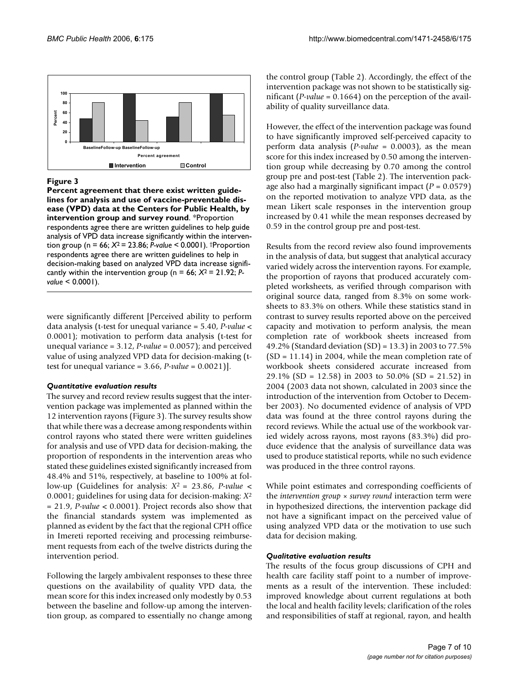

#### **Figure 3**

**Percent agreement that there exist written guidelines for analysis and use of vaccine-preventable disease (VPD) data at the Centers for Public Health, by intervention group and survey round**. \*Proportion respondents agree there are written guidelines to help guide analysis of VPD data increase significantly within the intervention group (n = 66; *X*2 = 23.86; *P-value* < 0.0001). †Proportion respondents agree there are written guidelines to help in decision-making based on analyzed VPD data increase significantly within the intervention group (n = 66; *X*2 = 21.92; *Pvalue* < 0.0001).

were significantly different [Perceived ability to perform data analysis (t-test for unequal variance = 5.40, *P-value* < 0.0001); motivation to perform data analysis (t-test for unequal variance = 3.12, *P-value* = 0.0057); and perceived value of using analyzed VPD data for decision-making (ttest for unequal variance = 3.66, *P-value* = 0.0021)].

#### *Quantitative evaluation results*

The survey and record review results suggest that the intervention package was implemented as planned within the 12 intervention rayons (Figure 3). The survey results show that while there was a decrease among respondents within control rayons who stated there were written guidelines for analysis and use of VPD data for decision-making, the proportion of respondents in the intervention areas who stated these guidelines existed significantly increased from 48.4% and 51%, respectively, at baseline to 100% at follow-up (Guidelines for analysis: *X*2 = 23.86, *P-value* < 0.0001; guidelines for using data for decision-making: *X*<sup>2</sup> = 21.9, *P-value* < 0.0001). Project records also show that the financial standards system was implemented as planned as evident by the fact that the regional CPH office in Imereti reported receiving and processing reimbursement requests from each of the twelve districts during the intervention period.

Following the largely ambivalent responses to these three questions on the availability of quality VPD data, the mean score for this index increased only modestly by 0.53 between the baseline and follow-up among the intervention group, as compared to essentially no change among the control group (Table 2). Accordingly, the effect of the intervention package was not shown to be statistically significant (*P-value* = 0.1664) on the perception of the availability of quality surveillance data.

However, the effect of the intervention package was found to have significantly improved self-perceived capacity to perform data analysis (*P-value* = 0.0003), as the mean score for this index increased by 0.50 among the intervention group while decreasing by 0.70 among the control group pre and post-test (Table 2). The intervention package also had a marginally significant impact (*P* = 0.0579) on the reported motivation to analyze VPD data, as the mean Likert scale responses in the intervention group increased by 0.41 while the mean responses decreased by 0.59 in the control group pre and post-test.

Results from the record review also found improvements in the analysis of data, but suggest that analytical accuracy varied widely across the intervention rayons. For example, the proportion of rayons that produced accurately completed worksheets, as verified through comparison with original source data, ranged from 8.3% on some worksheets to 83.3% on others. While these statistics stand in contrast to survey results reported above on the perceived capacity and motivation to perform analysis, the mean completion rate of workbook sheets increased from 49.2% (Standard deviation (SD) = 13.3) in 2003 to 77.5%  $(SD = 11.14)$  in 2004, while the mean completion rate of workbook sheets considered accurate increased from 29.1% (SD = 12.58) in 2003 to 50.0% (SD = 21.52) in 2004 (2003 data not shown, calculated in 2003 since the introduction of the intervention from October to December 2003). No documented evidence of analysis of VPD data was found at the three control rayons during the record reviews. While the actual use of the workbook varied widely across rayons, most rayons (83.3%) did produce evidence that the analysis of surveillance data was used to produce statistical reports, while no such evidence was produced in the three control rayons.

While point estimates and corresponding coefficients of the *intervention group* × *survey round* interaction term were in hypothesized directions, the intervention package did not have a significant impact on the perceived value of using analyzed VPD data or the motivation to use such data for decision making.

#### *Qualitative evaluation results*

The results of the focus group discussions of CPH and health care facility staff point to a number of improvements as a result of the intervention. These included: improved knowledge about current regulations at both the local and health facility levels; clarification of the roles and responsibilities of staff at regional, rayon, and health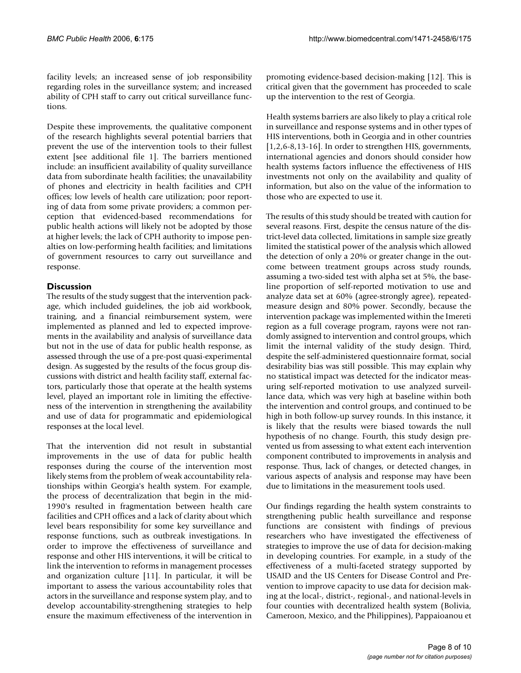facility levels; an increased sense of job responsibility regarding roles in the surveillance system; and increased ability of CPH staff to carry out critical surveillance functions.

Despite these improvements, the qualitative component of the research highlights several potential barriers that prevent the use of the intervention tools to their fullest extent [see additional file 1]. The barriers mentioned include: an insufficient availability of quality surveillance data from subordinate health facilities; the unavailability of phones and electricity in health facilities and CPH offices; low levels of health care utilization; poor reporting of data from some private providers; a common perception that evidenced-based recommendations for public health actions will likely not be adopted by those at higher levels; the lack of CPH authority to impose penalties on low-performing health facilities; and limitations of government resources to carry out surveillance and response.

# **Discussion**

The results of the study suggest that the intervention package, which included guidelines, the job aid workbook, training, and a financial reimbursement system, were implemented as planned and led to expected improvements in the availability and analysis of surveillance data but not in the use of data for public health response, as assessed through the use of a pre-post quasi-experimental design. As suggested by the results of the focus group discussions with district and health facility staff, external factors, particularly those that operate at the health systems level, played an important role in limiting the effectiveness of the intervention in strengthening the availability and use of data for programmatic and epidemiological responses at the local level.

That the intervention did not result in substantial improvements in the use of data for public health responses during the course of the intervention most likely stems from the problem of weak accountability relationships within Georgia's health system. For example, the process of decentralization that begin in the mid-1990's resulted in fragmentation between health care facilities and CPH offices and a lack of clarity about which level bears responsibility for some key surveillance and response functions, such as outbreak investigations. In order to improve the effectiveness of surveillance and response and other HIS interventions, it will be critical to link the intervention to reforms in management processes and organization culture [11]. In particular, it will be important to assess the various accountability roles that actors in the surveillance and response system play, and to develop accountability-strengthening strategies to help ensure the maximum effectiveness of the intervention in

promoting evidence-based decision-making [12]. This is critical given that the government has proceeded to scale up the intervention to the rest of Georgia.

Health systems barriers are also likely to play a critical role in surveillance and response systems and in other types of HIS interventions, both in Georgia and in other countries [1,2,6-8,13-16]. In order to strengthen HIS, governments, international agencies and donors should consider how health systems factors influence the effectiveness of HIS investments not only on the availability and quality of information, but also on the value of the information to those who are expected to use it.

The results of this study should be treated with caution for several reasons. First, despite the census nature of the district-level data collected, limitations in sample size greatly limited the statistical power of the analysis which allowed the detection of only a 20% or greater change in the outcome between treatment groups across study rounds, assuming a two-sided test with alpha set at 5%, the baseline proportion of self-reported motivation to use and analyze data set at 60% (agree-strongly agree), repeatedmeasure design and 80% power. Secondly, because the intervention package was implemented within the Imereti region as a full coverage program, rayons were not randomly assigned to intervention and control groups, which limit the internal validity of the study design. Third, despite the self-administered questionnaire format, social desirability bias was still possible. This may explain why no statistical impact was detected for the indicator measuring self-reported motivation to use analyzed surveillance data, which was very high at baseline within both the intervention and control groups, and continued to be high in both follow-up survey rounds. In this instance, it is likely that the results were biased towards the null hypothesis of no change. Fourth, this study design prevented us from assessing to what extent each intervention component contributed to improvements in analysis and response. Thus, lack of changes, or detected changes, in various aspects of analysis and response may have been due to limitations in the measurement tools used.

Our findings regarding the health system constraints to strengthening public health surveillance and response functions are consistent with findings of previous researchers who have investigated the effectiveness of strategies to improve the use of data for decision-making in developing countries. For example, in a study of the effectiveness of a multi-faceted strategy supported by USAID and the US Centers for Disease Control and Prevention to improve capacity to use data for decision making at the local-, district-, regional-, and national-levels in four counties with decentralized health system (Bolivia, Cameroon, Mexico, and the Philippines), Pappaioanou et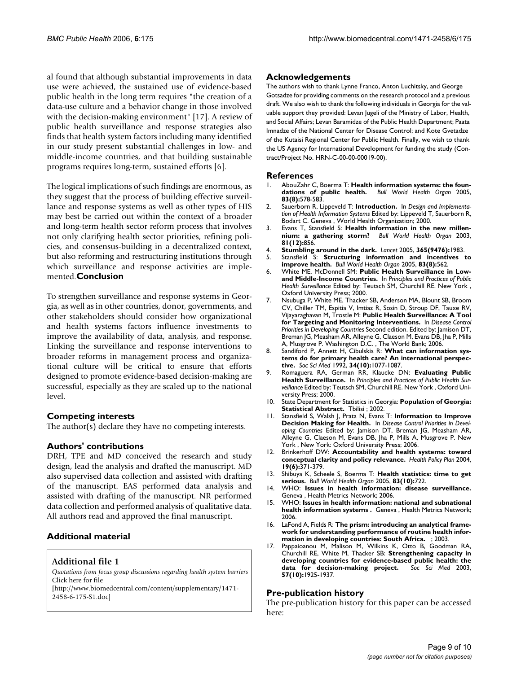al found that although substantial improvements in data use were achieved, the sustained use of evidence-based public health in the long term requires "the creation of a data-use culture and a behavior change in those involved with the decision-making environment" [17]. A review of public health surveillance and response strategies also finds that health system factors including many identified in our study present substantial challenges in low- and middle-income countries, and that building sustainable programs requires long-term, sustained efforts [6].

The logical implications of such findings are enormous, as they suggest that the process of building effective surveillance and response systems as well as other types of HIS may best be carried out within the context of a broader and long-term health sector reform process that involves not only clarifying health sector priorities, refining policies, and consensus-building in a decentralized context, but also reforming and restructuring institutions through which surveillance and response activities are implemented.**Conclusion**

To strengthen surveillance and response systems in Georgia, as well as in other countries, donor, governments, and other stakeholders should consider how organizational and health systems factors influence investments to improve the availability of data, analysis, and response. Linking the surveillance and response interventions to broader reforms in management process and organizational culture will be critical to ensure that efforts designed to promote evidence-based decision-making are successful, especially as they are scaled up to the national level.

# **Competing interests**

The author(s) declare they have no competing interests.

#### **Authors' contributions**

DRH, TPE and MD conceived the research and study design, lead the analysis and drafted the manuscript. MD also supervised data collection and assisted with drafting of the manuscript. EAS performed data analysis and assisted with drafting of the manuscript. NR performed data collection and performed analysis of qualitative data. All authors read and approved the final manuscript.

# **Additional material**

#### **Additional file 1**

*Quotations from focus group discussions regarding health system barriers* Click here for file

[\[http://www.biomedcentral.com/content/supplementary/1471-](http://www.biomedcentral.com/content/supplementary/1471-2458-6-175-S1.doc) 2458-6-175-S1.doc]

### **Acknowledgements**

The authors wish to thank Lynne Franco, Anton Luchitsky, and George Gotsadze for providing comments on the research protocol and a previous draft. We also wish to thank the following individuals in Georgia for the valuable support they provided: Levan Jugeli of the Ministry of Labor, Health, and Social Affairs; Levan Baramidze of the Public Health Department; Paata Imnadze of the National Center for Disease Control; and Kote Gvetadze of the Kutaisi Regional Center for Public Health. Finally, we wish to thank the US Agency for International Development for funding the study (Contract/Project No. HRN-C-00-00-00019-00).

#### **References**

- 1. AbouZahr C, Boerma T: **[Health information systems: the foun](http://www.ncbi.nlm.nih.gov/entrez/query.fcgi?cmd=Retrieve&db=PubMed&dopt=Abstract&list_uids=16184276)[dations of public health.](http://www.ncbi.nlm.nih.gov/entrez/query.fcgi?cmd=Retrieve&db=PubMed&dopt=Abstract&list_uids=16184276)** *Bull World Health Organ* 2005, **83(8):**578-583.
- 2. Sauerborn R, Lippeveld T: **Introduction.** In *Design and Implementation of Health Information Systems* Edited by: Lippeveld T, Sauerborn R, Bodart C. Geneva , World Health Organization; 2000.
- 3. Evans T, Stansfield S: **[Health information in the new millen](http://www.ncbi.nlm.nih.gov/entrez/query.fcgi?cmd=Retrieve&db=PubMed&dopt=Abstract&list_uids=14997237)[nium: a gathering storm?](http://www.ncbi.nlm.nih.gov/entrez/query.fcgi?cmd=Retrieve&db=PubMed&dopt=Abstract&list_uids=14997237)** *Bull World Health Organ* 2003, **81(12):**856.
- 4. **[Stumbling around in the dark.](http://www.ncbi.nlm.nih.gov/entrez/query.fcgi?cmd=Retrieve&db=PubMed&dopt=Abstract&list_uids=15954215)** *Lancet* 2005, **365(9476):**1983.
- 5. Stansfield S: **[Structuring information and incentives to](http://www.ncbi.nlm.nih.gov/entrez/query.fcgi?cmd=Retrieve&db=PubMed&dopt=Abstract&list_uids=16184268) [improve health.](http://www.ncbi.nlm.nih.gov/entrez/query.fcgi?cmd=Retrieve&db=PubMed&dopt=Abstract&list_uids=16184268)** *Bull World Health Organ* 2005, **83(8):**562.
- 6. White ME, McDonnell SM: **Public Health Surveillance in Lowand Middle-Income Countries.** In *Principles and Practices of Public Health Surveillance* Edited by: Teutsch SM, Churchill RE. New York , Oxford University Press; 2000.
- 7. Nsubuga P, White ME, Thacker SB, Anderson MA, Blount SB, Broom CV, Chiller TM, Espitia V, Imtiaz R, Sosin D, Stroup DF, Tauxe RV, Vijayaraghavan M, Trostle M: **Public Health Surveillance: A Tool for Targeting and Monitoring Interventions.** In *Disease Control Priorities in Developing Countries* Second edition. Edited by: Jamison DT, Breman JG, Measham AR, Alleyne G, Claeson M, Evans DB, Jha P, Mills A, Musgrove P. Washington D.C. , The World Bank; 2006.
- 8. Sandiford P, Annett H, Cibulskis R: **[What can information sys](http://www.ncbi.nlm.nih.gov/entrez/query.fcgi?cmd=Retrieve&db=PubMed&dopt=Abstract&list_uids=1641669)[tems do for primary health care? An international perspec](http://www.ncbi.nlm.nih.gov/entrez/query.fcgi?cmd=Retrieve&db=PubMed&dopt=Abstract&list_uids=1641669)[tive.](http://www.ncbi.nlm.nih.gov/entrez/query.fcgi?cmd=Retrieve&db=PubMed&dopt=Abstract&list_uids=1641669)** *Soc Sci Med* 1992, **34(10):**1077-1087.
- 9. Romaguera RA, German RR, Klaucke DN: **Evaluating Public Health Surveillance.** In *Principles and Practices of Public Health Surveillance* Edited by: Teutsch SM, Churchill RE. New York , Oxford University Press; 2000.
- 10. State Department for Statistics in Georgia: **Population of Georgia: Statistical Abstract.** Tbilisi ; 2002.
- 11. Stansfield S, Walsh J, Prata N, Evans T: **Information to Improve Decision Making for Health.** In *Disease Control Priorities in Developing Countries* Edited by: Jamison DT, Breman JG, Measham AR, Alleyne G, Claeson M, Evans DB, Jha P, Mills A, Musgrove P. New York , New York: Oxford University Press; 2006.
- 12. Brinkerhoff DW: **[Accountability and health systems: toward](http://www.ncbi.nlm.nih.gov/entrez/query.fcgi?cmd=Retrieve&db=PubMed&dopt=Abstract&list_uids=15459162) [conceptual clarity and policy relevance.](http://www.ncbi.nlm.nih.gov/entrez/query.fcgi?cmd=Retrieve&db=PubMed&dopt=Abstract&list_uids=15459162)** *Health Policy Plan* 2004, **19(6):**371-379.
- 13. Shibuya K, Scheele S, Boerma T: **[Health statistics: time to get](http://www.ncbi.nlm.nih.gov/entrez/query.fcgi?cmd=Retrieve&db=PubMed&dopt=Abstract&list_uids=16283042) [serious.](http://www.ncbi.nlm.nih.gov/entrez/query.fcgi?cmd=Retrieve&db=PubMed&dopt=Abstract&list_uids=16283042)** *Bull World Health Organ* 2005, **83(10):**722.
- 14. WHO: **Issues in health information: disease surveillance.** Geneva , Health Metrics Network; 2006.
- 15. WHO: **Issues in health information: national and subnational health information systems .** Geneva , Health Metrics Network; 2006.
- 16. LaFond A, Fields R: **The prism: introducing an analytical framework for understanding performance of routine health information in developing countries: South Africa.** ; 2003.
- 17. Pappaioanou M, Malison M, Wilkins K, Otto B, Goodman RA, Churchill RE, White M, Thacker SB: **[Strengthening capacity in](http://www.ncbi.nlm.nih.gov/entrez/query.fcgi?cmd=Retrieve&db=PubMed&dopt=Abstract&list_uids=14499516) [developing countries for evidence-based public health: the](http://www.ncbi.nlm.nih.gov/entrez/query.fcgi?cmd=Retrieve&db=PubMed&dopt=Abstract&list_uids=14499516) [data for decision-making project.](http://www.ncbi.nlm.nih.gov/entrez/query.fcgi?cmd=Retrieve&db=PubMed&dopt=Abstract&list_uids=14499516)** *Soc Sci Med* 2003, **57(10):**1925-1937.

#### **Pre-publication history**

The pre-publication history for this paper can be accessed here: